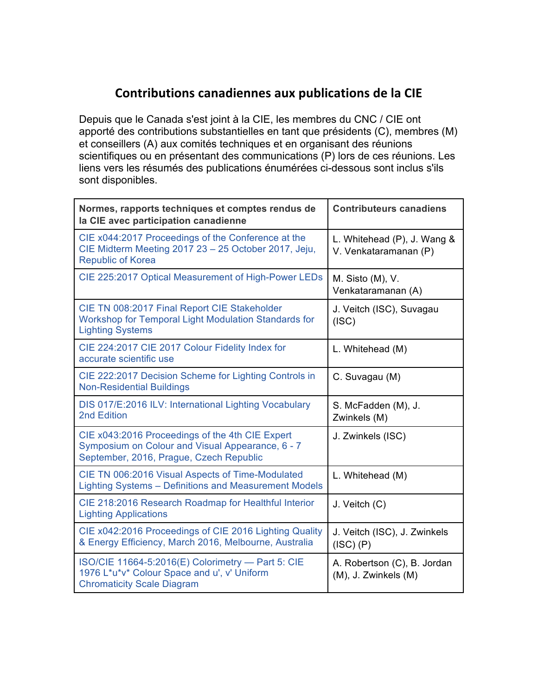## **Contributions canadiennes aux publications de la CIE**

Depuis que le Canada s'est joint à la CIE, les membres du CNC / CIE ont apporté des contributions substantielles en tant que présidents (C), membres (M) et conseillers (A) aux comités techniques et en organisant des réunions scientifiques ou en présentant des communications (P) lors de ces réunions. Les liens vers les résumés des publications énumérées ci-dessous sont inclus s'ils sont disponibles.

| Normes, rapports techniques et comptes rendus de<br>la CIE avec participation canadienne                                                       | <b>Contributeurs canadiens</b>                       |
|------------------------------------------------------------------------------------------------------------------------------------------------|------------------------------------------------------|
| CIE x044:2017 Proceedings of the Conference at the<br>CIE Midterm Meeting 2017 23 - 25 October 2017, Jeju,<br><b>Republic of Korea</b>         | L. Whitehead (P), J. Wang &<br>V. Venkataramanan (P) |
| CIE 225:2017 Optical Measurement of High-Power LEDs                                                                                            | M. Sisto (M), V.<br>Venkataramanan (A)               |
| CIE TN 008:2017 Final Report CIE Stakeholder<br>Workshop for Temporal Light Modulation Standards for<br><b>Lighting Systems</b>                | J. Veitch (ISC), Suvagau<br>(ISC)                    |
| CIE 224:2017 CIE 2017 Colour Fidelity Index for<br>accurate scientific use                                                                     | L. Whitehead (M)                                     |
| CIE 222:2017 Decision Scheme for Lighting Controls in<br><b>Non-Residential Buildings</b>                                                      | C. Suvagau (M)                                       |
| DIS 017/E:2016 ILV: International Lighting Vocabulary<br>2nd Edition                                                                           | S. McFadden (M), J.<br>Zwinkels (M)                  |
| CIE x043:2016 Proceedings of the 4th CIE Expert<br>Symposium on Colour and Visual Appearance, 6 - 7<br>September, 2016, Prague, Czech Republic | J. Zwinkels (ISC)                                    |
| CIE TN 006:2016 Visual Aspects of Time-Modulated<br>Lighting Systems - Definitions and Measurement Models                                      | L. Whitehead (M)                                     |
| CIE 218:2016 Research Roadmap for Healthful Interior<br><b>Lighting Applications</b>                                                           | J. Veitch (C)                                        |
| CIE x042:2016 Proceedings of CIE 2016 Lighting Quality<br>& Energy Efficiency, March 2016, Melbourne, Australia                                | J. Veitch (ISC), J. Zwinkels<br>(ISC) (P)            |
| ISO/CIE 11664-5:2016(E) Colorimetry - Part 5: CIE<br>1976 L*u*v* Colour Space and u', v' Uniform<br><b>Chromaticity Scale Diagram</b>          | A. Robertson (C), B. Jordan<br>(M), J. Zwinkels (M)  |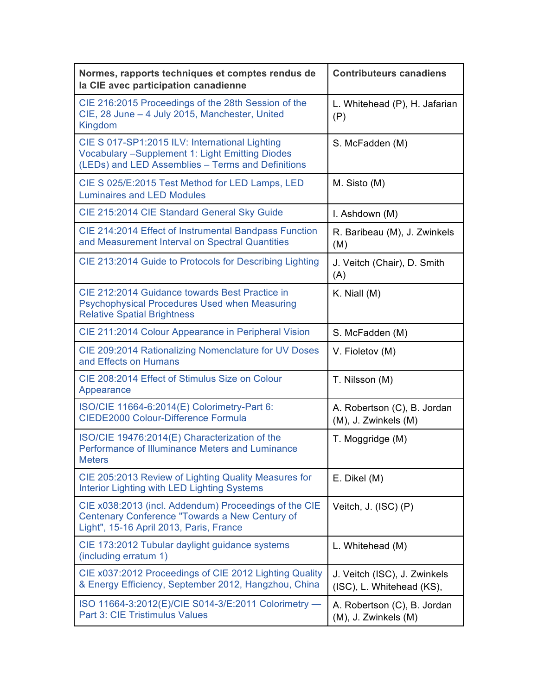| Normes, rapports techniques et comptes rendus de<br>la CIE avec participation canadienne                                                                      | <b>Contributeurs canadiens</b>                            |
|---------------------------------------------------------------------------------------------------------------------------------------------------------------|-----------------------------------------------------------|
| CIE 216:2015 Proceedings of the 28th Session of the<br>CIE, 28 June - 4 July 2015, Manchester, United<br>Kingdom                                              | L. Whitehead (P), H. Jafarian<br>(P)                      |
| CIE S 017-SP1:2015 ILV: International Lighting<br><b>Vocabulary -Supplement 1: Light Emitting Diodes</b><br>(LEDs) and LED Assemblies - Terms and Definitions | S. McFadden (M)                                           |
| CIE S 025/E:2015 Test Method for LED Lamps, LED<br><b>Luminaires and LED Modules</b>                                                                          | M. Sisto (M)                                              |
| CIE 215:2014 CIE Standard General Sky Guide                                                                                                                   | I. Ashdown (M)                                            |
| CIE 214:2014 Effect of Instrumental Bandpass Function<br>and Measurement Interval on Spectral Quantities                                                      | R. Baribeau (M), J. Zwinkels<br>(M)                       |
| CIE 213:2014 Guide to Protocols for Describing Lighting                                                                                                       | J. Veitch (Chair), D. Smith<br>(A)                        |
| CIE 212:2014 Guidance towards Best Practice in<br>Psychophysical Procedures Used when Measuring<br><b>Relative Spatial Brightness</b>                         | K. Niall $(M)$                                            |
| CIE 211:2014 Colour Appearance in Peripheral Vision                                                                                                           | S. McFadden (M)                                           |
| CIE 209:2014 Rationalizing Nomenclature for UV Doses<br>and Effects on Humans                                                                                 | V. Fioletov (M)                                           |
| CIE 208:2014 Effect of Stimulus Size on Colour<br>Appearance                                                                                                  | T. Nilsson (M)                                            |
| ISO/CIE 11664-6:2014(E) Colorimetry-Part 6:<br><b>CIEDE2000 Colour-Difference Formula</b>                                                                     | A. Robertson (C), B. Jordan<br>(M), J. Zwinkels (M)       |
| ISO/CIE 19476:2014(E) Characterization of the<br>Performance of Illuminance Meters and Luminance<br><b>Meters</b>                                             | T. Moggridge (M)                                          |
| CIE 205:2013 Review of Lighting Quality Measures for<br>Interior Lighting with LED Lighting Systems                                                           | E. Dikel (M)                                              |
| CIE x038:2013 (incl. Addendum) Proceedings of the CIE<br>Centenary Conference "Towards a New Century of<br>Light", 15-16 April 2013, Paris, France            | Veitch, J. (ISC) (P)                                      |
| CIE 173:2012 Tubular daylight guidance systems<br>(including erratum 1)                                                                                       | L. Whitehead (M)                                          |
| CIE x037:2012 Proceedings of CIE 2012 Lighting Quality<br>& Energy Efficiency, September 2012, Hangzhou, China                                                | J. Veitch (ISC), J. Zwinkels<br>(ISC), L. Whitehead (KS), |
| ISO 11664-3:2012(E)/CIE S014-3/E:2011 Colorimetry -<br>Part 3: CIE Tristimulus Values                                                                         | A. Robertson (C), B. Jordan<br>(M), J. Zwinkels (M)       |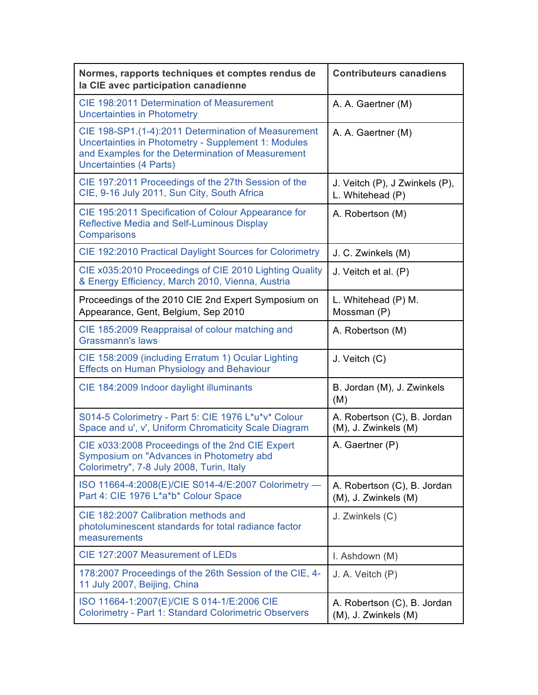| Normes, rapports techniques et comptes rendus de<br>la CIE avec participation canadienne                                                                                                          | <b>Contributeurs canadiens</b>                      |
|---------------------------------------------------------------------------------------------------------------------------------------------------------------------------------------------------|-----------------------------------------------------|
| CIE 198:2011 Determination of Measurement<br><b>Uncertainties in Photometry</b>                                                                                                                   | A. A. Gaertner (M)                                  |
| CIE 198-SP1.(1-4):2011 Determination of Measurement<br>Uncertainties in Photometry - Supplement 1: Modules<br>and Examples for the Determination of Measurement<br><b>Uncertainties (4 Parts)</b> | A. A. Gaertner (M)                                  |
| CIE 197:2011 Proceedings of the 27th Session of the<br>CIE, 9-16 July 2011, Sun City, South Africa                                                                                                | J. Veitch (P), J Zwinkels (P),<br>L. Whitehead (P)  |
| CIE 195:2011 Specification of Colour Appearance for<br><b>Reflective Media and Self-Luminous Display</b><br>Comparisons                                                                           | A. Robertson (M)                                    |
| CIE 192:2010 Practical Daylight Sources for Colorimetry                                                                                                                                           | J. C. Zwinkels (M)                                  |
| CIE x035:2010 Proceedings of CIE 2010 Lighting Quality<br>& Energy Efficiency, March 2010, Vienna, Austria                                                                                        | J. Veitch et al. (P)                                |
| Proceedings of the 2010 CIE 2nd Expert Symposium on<br>Appearance, Gent, Belgium, Sep 2010                                                                                                        | L. Whitehead (P) M.<br>Mossman (P)                  |
| CIE 185:2009 Reappraisal of colour matching and<br><b>Grassmann's laws</b>                                                                                                                        | A. Robertson (M)                                    |
| CIE 158:2009 (including Erratum 1) Ocular Lighting<br><b>Effects on Human Physiology and Behaviour</b>                                                                                            | J. Veitch (C)                                       |
| CIE 184:2009 Indoor daylight illuminants                                                                                                                                                          | B. Jordan (M), J. Zwinkels<br>(M)                   |
| S014-5 Colorimetry - Part 5: CIE 1976 L*u*v* Colour<br>Space and u', v', Uniform Chromaticity Scale Diagram                                                                                       | A. Robertson (C), B. Jordan<br>(M), J. Zwinkels (M) |
| CIE x033:2008 Proceedings of the 2nd CIE Expert<br>Symposium on "Advances in Photometry abd<br>Colorimetry", 7-8 July 2008, Turin, Italy                                                          | A. Gaertner (P)                                     |
| ISO 11664-4:2008(E)/CIE S014-4/E:2007 Colorimetry -<br>Part 4: CIE 1976 L*a*b* Colour Space                                                                                                       | A. Robertson (C), B. Jordan<br>(M), J. Zwinkels (M) |
| CIE 182:2007 Calibration methods and<br>photoluminescent standards for total radiance factor<br>measurements                                                                                      | J. Zwinkels (C)                                     |
| CIE 127:2007 Measurement of LEDs                                                                                                                                                                  | I. Ashdown (M)                                      |
| 178:2007 Proceedings of the 26th Session of the CIE, 4-<br>11 July 2007, Beijing, China                                                                                                           | J. A. Veitch (P)                                    |
| ISO 11664-1:2007(E)/CIE S 014-1/E:2006 CIE<br><b>Colorimetry - Part 1: Standard Colorimetric Observers</b>                                                                                        | A. Robertson (C), B. Jordan<br>(M), J. Zwinkels (M) |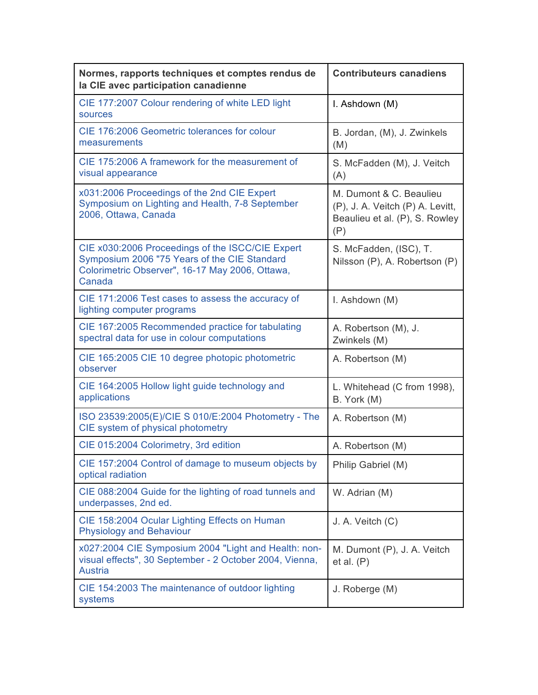| Normes, rapports techniques et comptes rendus de<br>la CIE avec participation canadienne                                                                      | <b>Contributeurs canadiens</b>                                                                       |
|---------------------------------------------------------------------------------------------------------------------------------------------------------------|------------------------------------------------------------------------------------------------------|
| CIE 177:2007 Colour rendering of white LED light<br>sources                                                                                                   | I. Ashdown (M)                                                                                       |
| CIE 176:2006 Geometric tolerances for colour<br>measurements                                                                                                  | B. Jordan, (M), J. Zwinkels<br>(M)                                                                   |
| CIE 175:2006 A framework for the measurement of<br>visual appearance                                                                                          | S. McFadden (M), J. Veitch<br>(A)                                                                    |
| x031:2006 Proceedings of the 2nd CIE Expert<br>Symposium on Lighting and Health, 7-8 September<br>2006, Ottawa, Canada                                        | M. Dumont & C. Beaulieu<br>(P), J. A. Veitch (P) A. Levitt,<br>Beaulieu et al. (P), S. Rowley<br>(P) |
| CIE x030:2006 Proceedings of the ISCC/CIE Expert<br>Symposium 2006 "75 Years of the CIE Standard<br>Colorimetric Observer", 16-17 May 2006, Ottawa,<br>Canada | S. McFadden, (ISC), T.<br>Nilsson (P), A. Robertson (P)                                              |
| CIE 171:2006 Test cases to assess the accuracy of<br>lighting computer programs                                                                               | I. Ashdown (M)                                                                                       |
| CIE 167:2005 Recommended practice for tabulating<br>spectral data for use in colour computations                                                              | A. Robertson (M), J.<br>Zwinkels (M)                                                                 |
| CIE 165:2005 CIE 10 degree photopic photometric<br>observer                                                                                                   | A. Robertson (M)                                                                                     |
| CIE 164:2005 Hollow light guide technology and<br>applications                                                                                                | L. Whitehead (C from 1998),<br>B. York (M)                                                           |
| ISO 23539:2005(E)/CIE S 010/E:2004 Photometry - The<br>CIE system of physical photometry                                                                      | A. Robertson (M)                                                                                     |
| CIE 015:2004 Colorimetry, 3rd edition                                                                                                                         | A. Robertson (M)                                                                                     |
| CIE 157:2004 Control of damage to museum objects by<br>optical radiation                                                                                      | Philip Gabriel (M)                                                                                   |
| CIE 088:2004 Guide for the lighting of road tunnels and<br>underpasses, 2nd ed.                                                                               | W. Adrian (M)                                                                                        |
| CIE 158:2004 Ocular Lighting Effects on Human<br><b>Physiology and Behaviour</b>                                                                              | J. A. Veitch (C)                                                                                     |
| x027:2004 CIE Symposium 2004 "Light and Health: non-<br>visual effects", 30 September - 2 October 2004, Vienna,<br><b>Austria</b>                             | M. Dumont (P), J. A. Veitch<br>et al. (P)                                                            |
| CIE 154:2003 The maintenance of outdoor lighting<br>systems                                                                                                   | J. Roberge (M)                                                                                       |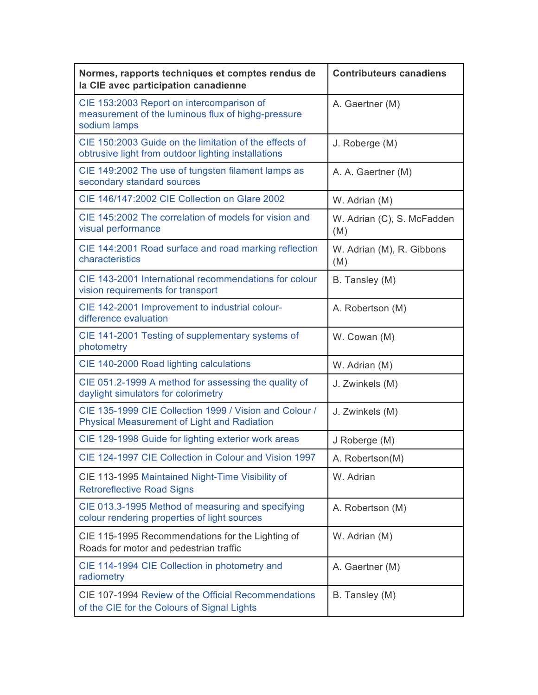| Normes, rapports techniques et comptes rendus de<br>la CIE avec participation canadienne                        | <b>Contributeurs canadiens</b>    |
|-----------------------------------------------------------------------------------------------------------------|-----------------------------------|
| CIE 153:2003 Report on intercomparison of<br>measurement of the luminous flux of highg-pressure<br>sodium lamps | A. Gaertner (M)                   |
| CIE 150:2003 Guide on the limitation of the effects of<br>obtrusive light from outdoor lighting installations   | J. Roberge (M)                    |
| CIE 149:2002 The use of tungsten filament lamps as<br>secondary standard sources                                | A. A. Gaertner (M)                |
| CIE 146/147:2002 CIE Collection on Glare 2002                                                                   | W. Adrian (M)                     |
| CIE 145:2002 The correlation of models for vision and<br>visual performance                                     | W. Adrian (C), S. McFadden<br>(M) |
| CIE 144:2001 Road surface and road marking reflection<br>characteristics                                        | W. Adrian (M), R. Gibbons<br>(M)  |
| CIE 143-2001 International recommendations for colour<br>vision requirements for transport                      | B. Tansley (M)                    |
| CIE 142-2001 Improvement to industrial colour-<br>difference evaluation                                         | A. Robertson (M)                  |
| CIE 141-2001 Testing of supplementary systems of<br>photometry                                                  | W. Cowan (M)                      |
| CIE 140-2000 Road lighting calculations                                                                         | W. Adrian (M)                     |
| CIE 051.2-1999 A method for assessing the quality of<br>daylight simulators for colorimetry                     | J. Zwinkels (M)                   |
| CIE 135-1999 CIE Collection 1999 / Vision and Colour /<br><b>Physical Measurement of Light and Radiation</b>    | J. Zwinkels (M)                   |
| CIE 129-1998 Guide for lighting exterior work areas                                                             | J Roberge (M)                     |
| CIE 124-1997 CIE Collection in Colour and Vision 1997                                                           | A. Robertson(M)                   |
| CIE 113-1995 Maintained Night-Time Visibility of<br><b>Retroreflective Road Signs</b>                           | W. Adrian                         |
| CIE 013.3-1995 Method of measuring and specifying<br>colour rendering properties of light sources               | A. Robertson (M)                  |
| CIE 115-1995 Recommendations for the Lighting of<br>Roads for motor and pedestrian traffic                      | W. Adrian (M)                     |
| CIE 114-1994 CIE Collection in photometry and<br>radiometry                                                     | A. Gaertner (M)                   |
| CIE 107-1994 Review of the Official Recommendations<br>of the CIE for the Colours of Signal Lights              | B. Tansley (M)                    |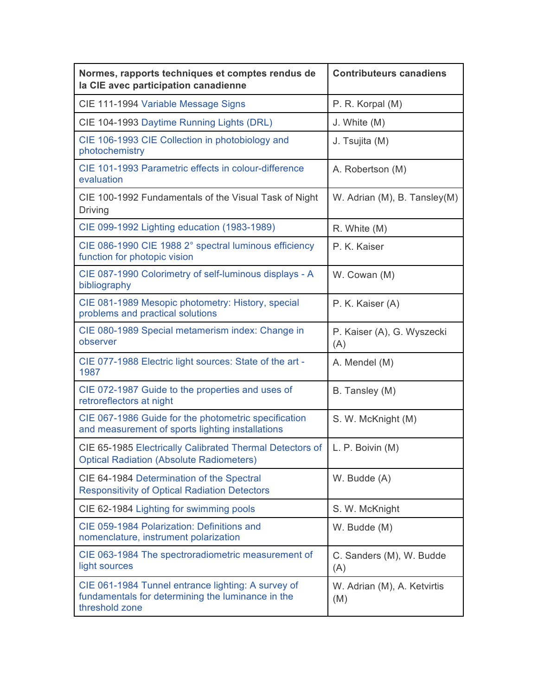| Normes, rapports techniques et comptes rendus de<br>la CIE avec participation canadienne                                  | <b>Contributeurs canadiens</b>     |
|---------------------------------------------------------------------------------------------------------------------------|------------------------------------|
| CIE 111-1994 Variable Message Signs                                                                                       | P. R. Korpal (M)                   |
| CIE 104-1993 Daytime Running Lights (DRL)                                                                                 | J. White (M)                       |
| CIE 106-1993 CIE Collection in photobiology and<br>photochemistry                                                         | J. Tsujita (M)                     |
| CIE 101-1993 Parametric effects in colour-difference<br>evaluation                                                        | A. Robertson (M)                   |
| CIE 100-1992 Fundamentals of the Visual Task of Night<br>Driving                                                          | W. Adrian (M), B. Tansley(M)       |
| CIE 099-1992 Lighting education (1983-1989)                                                                               | R. White (M)                       |
| CIE 086-1990 CIE 1988 2° spectral luminous efficiency<br>function for photopic vision                                     | P. K. Kaiser                       |
| CIE 087-1990 Colorimetry of self-luminous displays - A<br>bibliography                                                    | W. Cowan (M)                       |
| CIE 081-1989 Mesopic photometry: History, special<br>problems and practical solutions                                     | P. K. Kaiser (A)                   |
| CIE 080-1989 Special metamerism index: Change in<br>observer                                                              | P. Kaiser (A), G. Wyszecki<br>(A)  |
| CIE 077-1988 Electric light sources: State of the art -<br>1987                                                           | A. Mendel (M)                      |
| CIE 072-1987 Guide to the properties and uses of<br>retroreflectors at night                                              | B. Tansley (M)                     |
| CIE 067-1986 Guide for the photometric specification<br>and measurement of sports lighting installations                  | S. W. McKnight (M)                 |
| CIE 65-1985 Electrically Calibrated Thermal Detectors of<br><b>Optical Radiation (Absolute Radiometers)</b>               | L. P. Boivin (M)                   |
| CIE 64-1984 Determination of the Spectral<br><b>Responsitivity of Optical Radiation Detectors</b>                         | W. Budde (A)                       |
| CIE 62-1984 Lighting for swimming pools                                                                                   | S. W. McKnight                     |
| CIE 059-1984 Polarization: Definitions and<br>nomenclature, instrument polarization                                       | W. Budde (M)                       |
| CIE 063-1984 The spectroradiometric measurement of<br>light sources                                                       | C. Sanders (M), W. Budde<br>(A)    |
| CIE 061-1984 Tunnel entrance lighting: A survey of<br>fundamentals for determining the luminance in the<br>threshold zone | W. Adrian (M), A. Ketvirtis<br>(M) |